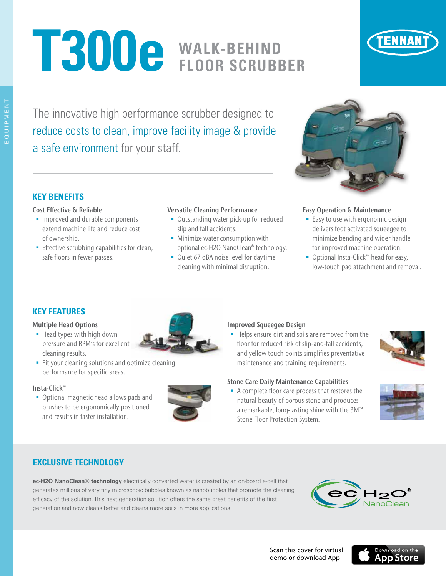# **T300e WALK-BEHIND FLOOR SCRUBBER**



The innovative high performance scrubber designed to reduce costs to clean, improve facility image & provide a safe environment for your staff.



## **KEY BENEFITS**

#### Cost Effective & Reliable

- **Improved and durable components** extend machine life and reduce cost of ownership.
- **Effective scrubbing capabilities for clean,** safe floors in fewer passes.

#### Versatile Cleaning Performance

- **Outstanding water pick-up for reduced** slip and fall accidents.
- **Minimize water consumption with** optional ec-H2O NanoClean® technology.
- Quiet 67 dBA noise level for daytime cleaning with minimal disruption.

#### Easy Operation & Maintenance

- **Easy to use with ergonomic design** delivers foot activated squeegee to minimize bending and wider handle for improved machine operation.
- Optional Insta-Click™ head for easy, low-touch pad attachment and removal.

## **KEY FEATURES**

#### Multiple Head Options

- Head types with high down pressure and RPM's for excellent cleaning results.
- Fit your cleaning solutions and optimize cleaning performance for specific areas.

#### Insta-Click™

 Optional magnetic head allows pads and brushes to be ergonomically positioned and results in faster installation.



#### Improved Squeegee Design

■ Helps ensure dirt and soils are removed from the floor for reduced risk of slip-and-fall accidents, and yellow touch points simplifies preventative maintenance and training requirements.



#### Stone Care Daily Maintenance Capabilities

A complete floor care process that restores the natural beauty of porous stone and produces a remarkable, long-lasting shine with the 3M™ Stone Floor Protection System.



## **EXCLUSIVE TECHNOLOGY**

**ec-H2O NanoClean® technology** electrically converted water is created by an on-board e-cell that generates millions of very tiny microscopic bubbles known as nanobubbles that promote the cleaning efficacy of the solution. This next generation solution offers the same great benefits of the first generation and now cleans better and cleans more soils in more applications.